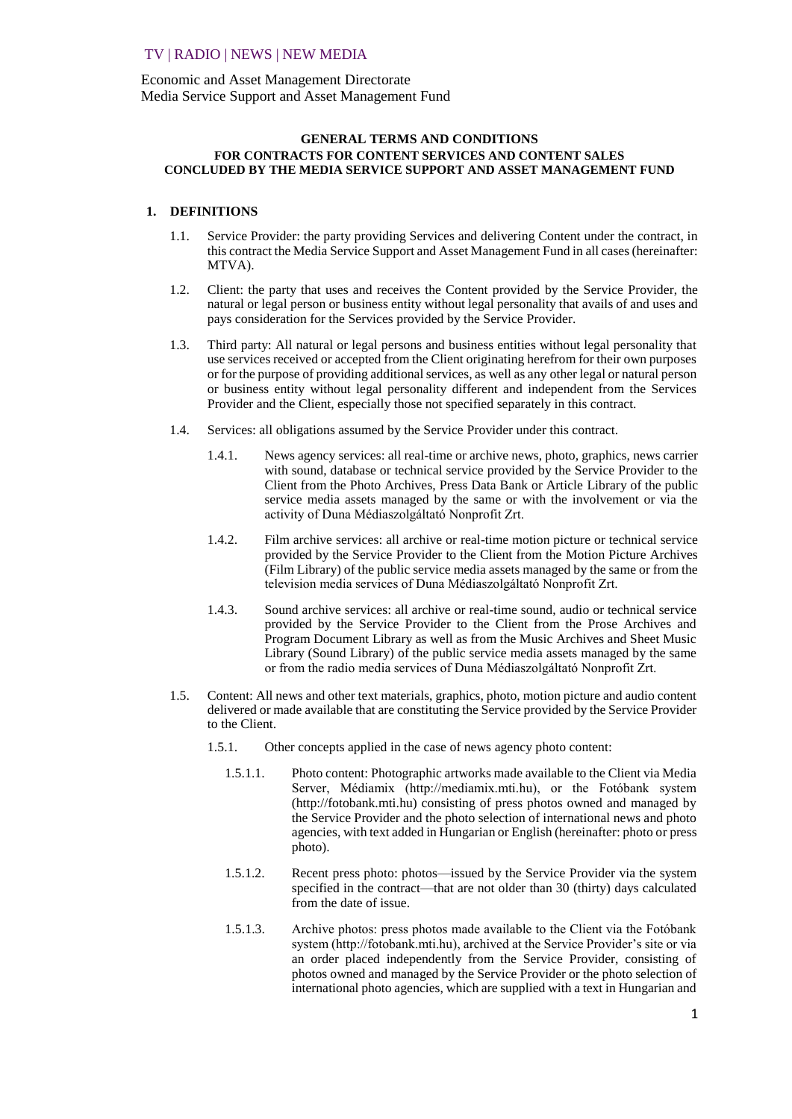# TV | RADIO | NEWS | NEW MEDIA

Economic and Asset Management Directorate Media Service Support and Asset Management Fund

## **GENERAL TERMS AND CONDITIONS FOR CONTRACTS FOR CONTENT SERVICES AND CONTENT SALES CONCLUDED BY THE MEDIA SERVICE SUPPORT AND ASSET MANAGEMENT FUND**

### **1. DEFINITIONS**

- 1.1. Service Provider: the party providing Services and delivering Content under the contract, in this contract the Media Service Support and Asset Management Fund in all cases (hereinafter: MTVA).
- 1.2. Client: the party that uses and receives the Content provided by the Service Provider, the natural or legal person or business entity without legal personality that avails of and uses and pays consideration for the Services provided by the Service Provider.
- 1.3. Third party: All natural or legal persons and business entities without legal personality that use services received or accepted from the Client originating herefrom for their own purposes or for the purpose of providing additional services, as well as any other legal or natural person or business entity without legal personality different and independent from the Services Provider and the Client, especially those not specified separately in this contract.
- 1.4. Services: all obligations assumed by the Service Provider under this contract.
	- 1.4.1. News agency services: all real-time or archive news, photo, graphics, news carrier with sound, database or technical service provided by the Service Provider to the Client from the Photo Archives, Press Data Bank or Article Library of the public service media assets managed by the same or with the involvement or via the activity of Duna Médiaszolgáltató Nonprofit Zrt.
	- 1.4.2. Film archive services: all archive or real-time motion picture or technical service provided by the Service Provider to the Client from the Motion Picture Archives (Film Library) of the public service media assets managed by the same or from the television media services of Duna Médiaszolgáltató Nonprofit Zrt.
	- 1.4.3. Sound archive services: all archive or real-time sound, audio or technical service provided by the Service Provider to the Client from the Prose Archives and Program Document Library as well as from the Music Archives and Sheet Music Library (Sound Library) of the public service media assets managed by the same or from the radio media services of Duna Médiaszolgáltató Nonprofit Zrt.
- 1.5. Content: All news and other text materials, graphics, photo, motion picture and audio content delivered or made available that are constituting the Service provided by the Service Provider to the Client.
	- 1.5.1. Other concepts applied in the case of news agency photo content:
		- 1.5.1.1. Photo content: Photographic artworks made available to the Client via Media Server, Médiamix (http://mediamix.mti.hu), or the Fotóbank system (http://fotobank.mti.hu) consisting of press photos owned and managed by the Service Provider and the photo selection of international news and photo agencies, with text added in Hungarian or English (hereinafter: photo or press photo).
		- 1.5.1.2. Recent press photo: photos—issued by the Service Provider via the system specified in the contract—that are not older than 30 (thirty) days calculated from the date of issue.
		- 1.5.1.3. Archive photos: press photos made available to the Client via the Fotóbank system (http://fotobank.mti.hu), archived at the Service Provider's site or via an order placed independently from the Service Provider, consisting of photos owned and managed by the Service Provider or the photo selection of international photo agencies, which are supplied with a text in Hungarian and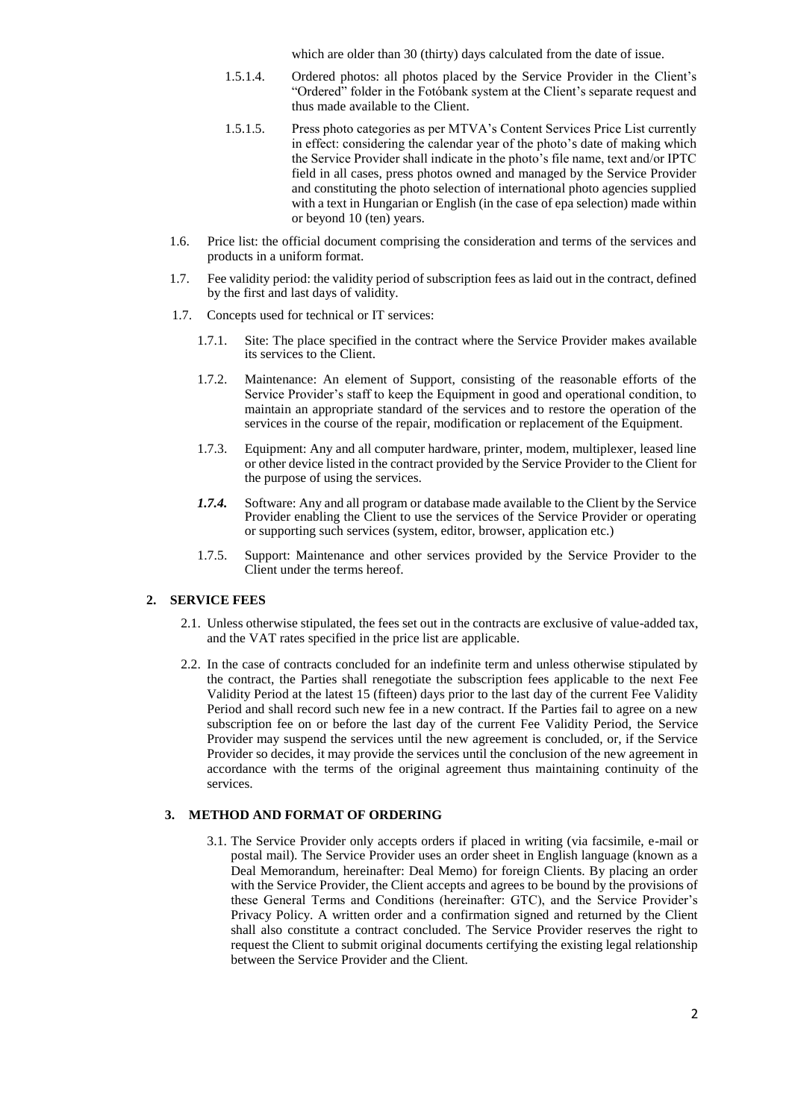which are older than 30 (thirty) days calculated from the date of issue.

- 1.5.1.4. Ordered photos: all photos placed by the Service Provider in the Client's "Ordered" folder in the Fotóbank system at the Client's separate request and thus made available to the Client.
- 1.5.1.5. Press photo categories as per MTVA's Content Services Price List currently in effect: considering the calendar year of the photo's date of making which the Service Provider shall indicate in the photo's file name, text and/or IPTC field in all cases, press photos owned and managed by the Service Provider and constituting the photo selection of international photo agencies supplied with a text in Hungarian or English (in the case of epa selection) made within or beyond 10 (ten) years.
- 1.6. Price list: the official document comprising the consideration and terms of the services and products in a uniform format.
- 1.7. Fee validity period: the validity period of subscription fees as laid out in the contract, defined by the first and last days of validity.
- 1.7. Concepts used for technical or IT services:
	- 1.7.1. Site: The place specified in the contract where the Service Provider makes available its services to the Client.
	- 1.7.2. Maintenance: An element of Support, consisting of the reasonable efforts of the Service Provider's staff to keep the Equipment in good and operational condition, to maintain an appropriate standard of the services and to restore the operation of the services in the course of the repair, modification or replacement of the Equipment.
	- 1.7.3. Equipment: Any and all computer hardware, printer, modem, multiplexer, leased line or other device listed in the contract provided by the Service Provider to the Client for the purpose of using the services.
	- *1.7.4.* Software: Any and all program or database made available to the Client by the Service Provider enabling the Client to use the services of the Service Provider or operating or supporting such services (system, editor, browser, application etc.)
	- 1.7.5. Support: Maintenance and other services provided by the Service Provider to the Client under the terms hereof.

#### **2. SERVICE FEES**

- 2.1. Unless otherwise stipulated, the fees set out in the contracts are exclusive of value-added tax, and the VAT rates specified in the price list are applicable.
- 2.2. In the case of contracts concluded for an indefinite term and unless otherwise stipulated by the contract, the Parties shall renegotiate the subscription fees applicable to the next Fee Validity Period at the latest 15 (fifteen) days prior to the last day of the current Fee Validity Period and shall record such new fee in a new contract. If the Parties fail to agree on a new subscription fee on or before the last day of the current Fee Validity Period, the Service Provider may suspend the services until the new agreement is concluded, or, if the Service Provider so decides, it may provide the services until the conclusion of the new agreement in accordance with the terms of the original agreement thus maintaining continuity of the services.

#### **3. METHOD AND FORMAT OF ORDERING**

3.1. The Service Provider only accepts orders if placed in writing (via facsimile, e-mail or postal mail). The Service Provider uses an order sheet in English language (known as a Deal Memorandum, hereinafter: Deal Memo) for foreign Clients. By placing an order with the Service Provider, the Client accepts and agrees to be bound by the provisions of these General Terms and Conditions (hereinafter: GTC), and the Service Provider's Privacy Policy. A written order and a confirmation signed and returned by the Client shall also constitute a contract concluded. The Service Provider reserves the right to request the Client to submit original documents certifying the existing legal relationship between the Service Provider and the Client.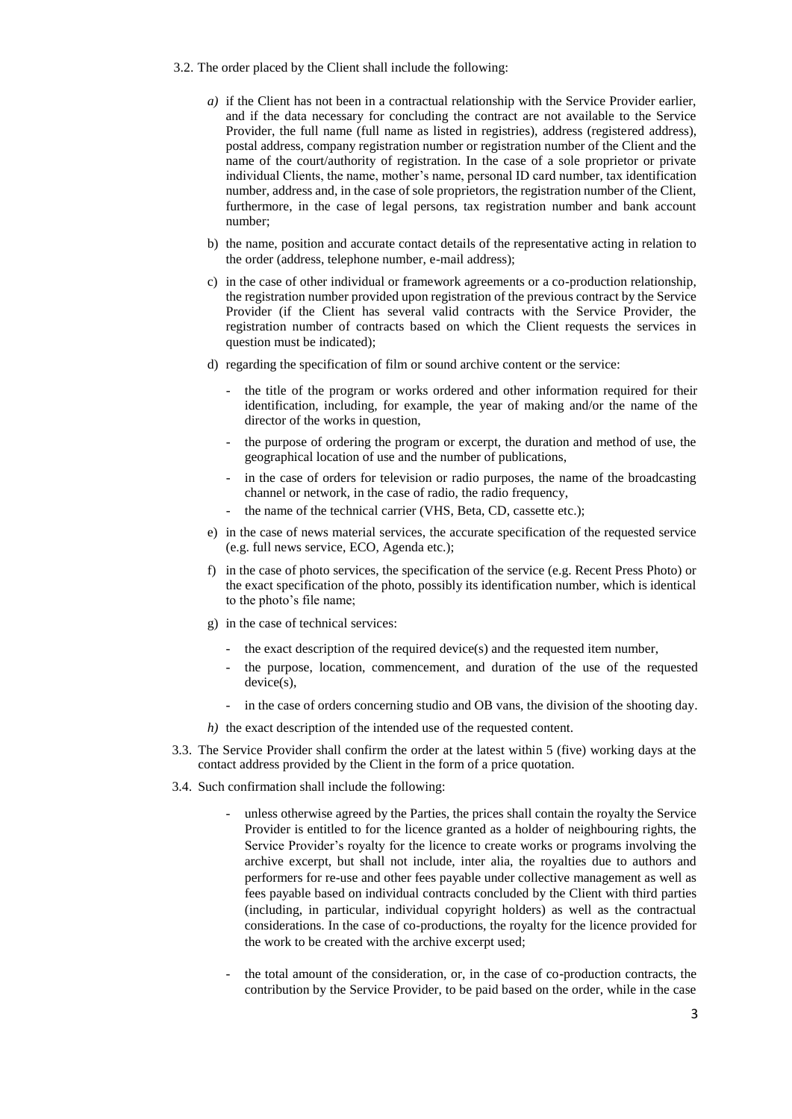- 3.2. The order placed by the Client shall include the following:
	- *a)* if the Client has not been in a contractual relationship with the Service Provider earlier, and if the data necessary for concluding the contract are not available to the Service Provider, the full name (full name as listed in registries), address (registered address), postal address, company registration number or registration number of the Client and the name of the court/authority of registration. In the case of a sole proprietor or private individual Clients, the name, mother's name, personal ID card number, tax identification number, address and, in the case of sole proprietors, the registration number of the Client, furthermore, in the case of legal persons, tax registration number and bank account number;
	- b) the name, position and accurate contact details of the representative acting in relation to the order (address, telephone number, e-mail address);
	- c) in the case of other individual or framework agreements or a co-production relationship, the registration number provided upon registration of the previous contract by the Service Provider (if the Client has several valid contracts with the Service Provider, the registration number of contracts based on which the Client requests the services in question must be indicated);
	- d) regarding the specification of film or sound archive content or the service:
		- the title of the program or works ordered and other information required for their identification, including, for example, the year of making and/or the name of the director of the works in question,
		- the purpose of ordering the program or excerpt, the duration and method of use, the geographical location of use and the number of publications,
		- in the case of orders for television or radio purposes, the name of the broadcasting channel or network, in the case of radio, the radio frequency,
		- the name of the technical carrier (VHS, Beta, CD, cassette etc.);
	- e) in the case of news material services, the accurate specification of the requested service (e.g. full news service, ECO, Agenda etc.);
	- f) in the case of photo services, the specification of the service (e.g. Recent Press Photo) or the exact specification of the photo, possibly its identification number, which is identical to the photo's file name;
	- g) in the case of technical services:
		- the exact description of the required device(s) and the requested item number,
		- the purpose, location, commencement, and duration of the use of the requested device(s).
		- in the case of orders concerning studio and OB vans, the division of the shooting day.
	- *h)* the exact description of the intended use of the requested content.
- 3.3. The Service Provider shall confirm the order at the latest within 5 (five) working days at the contact address provided by the Client in the form of a price quotation.
- 3.4. Such confirmation shall include the following:
	- unless otherwise agreed by the Parties, the prices shall contain the royalty the Service Provider is entitled to for the licence granted as a holder of neighbouring rights, the Service Provider's royalty for the licence to create works or programs involving the archive excerpt, but shall not include, inter alia, the royalties due to authors and performers for re-use and other fees payable under collective management as well as fees payable based on individual contracts concluded by the Client with third parties (including, in particular, individual copyright holders) as well as the contractual considerations. In the case of co-productions, the royalty for the licence provided for the work to be created with the archive excerpt used;
	- the total amount of the consideration, or, in the case of co-production contracts, the contribution by the Service Provider, to be paid based on the order, while in the case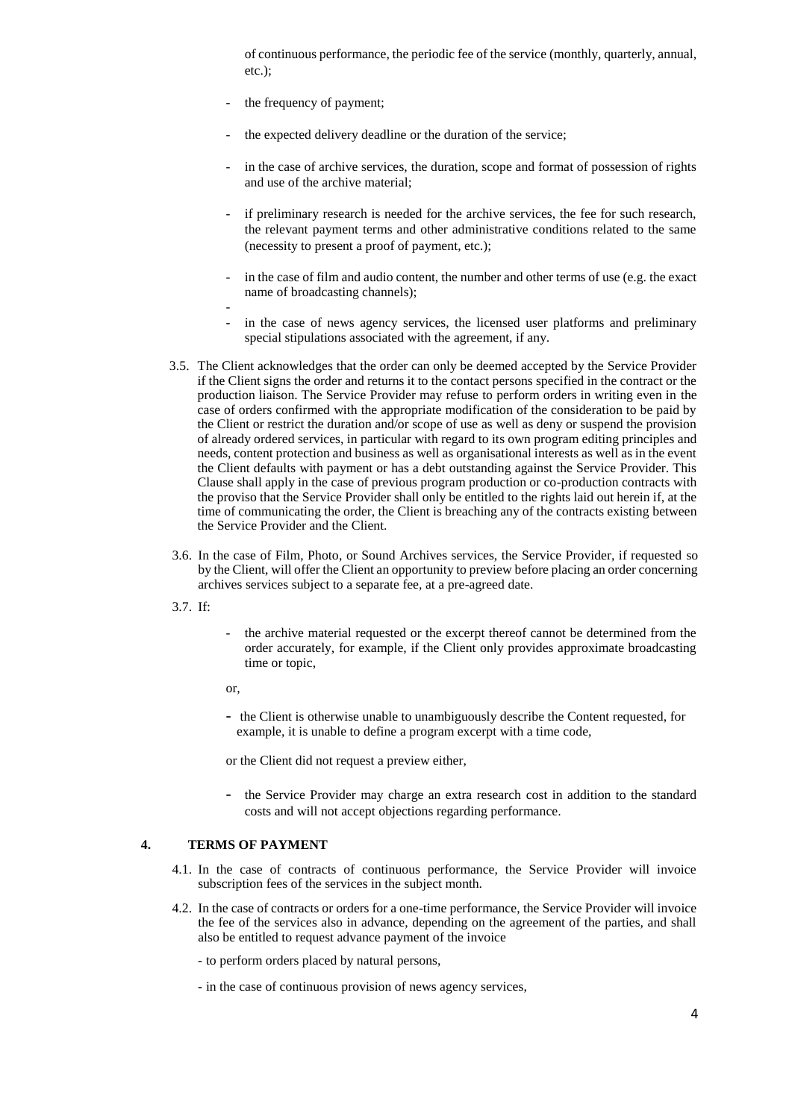of continuous performance, the periodic fee of the service (monthly, quarterly, annual, etc.) $\cdot$ 

- the frequency of payment;
- the expected delivery deadline or the duration of the service:
- in the case of archive services, the duration, scope and format of possession of rights and use of the archive material;
- if preliminary research is needed for the archive services, the fee for such research, the relevant payment terms and other administrative conditions related to the same (necessity to present a proof of payment, etc.);
- in the case of film and audio content, the number and other terms of use (e.g. the exact name of broadcasting channels);
- -
- in the case of news agency services, the licensed user platforms and preliminary special stipulations associated with the agreement, if any.
- 3.5. The Client acknowledges that the order can only be deemed accepted by the Service Provider if the Client signs the order and returns it to the contact persons specified in the contract or the production liaison. The Service Provider may refuse to perform orders in writing even in the case of orders confirmed with the appropriate modification of the consideration to be paid by the Client or restrict the duration and/or scope of use as well as deny or suspend the provision of already ordered services, in particular with regard to its own program editing principles and needs, content protection and business as well as organisational interests as well as in the event the Client defaults with payment or has a debt outstanding against the Service Provider. This Clause shall apply in the case of previous program production or co-production contracts with the proviso that the Service Provider shall only be entitled to the rights laid out herein if, at the time of communicating the order, the Client is breaching any of the contracts existing between the Service Provider and the Client.
- 3.6. In the case of Film, Photo, or Sound Archives services, the Service Provider, if requested so by the Client, will offer the Client an opportunity to preview before placing an order concerning archives services subject to a separate fee, at a pre-agreed date.
- 3.7. If:
- the archive material requested or the excerpt thereof cannot be determined from the order accurately, for example, if the Client only provides approximate broadcasting time or topic,
- or,
- the Client is otherwise unable to unambiguously describe the Content requested, for example, it is unable to define a program excerpt with a time code,

or the Client did not request a preview either,

- the Service Provider may charge an extra research cost in addition to the standard costs and will not accept objections regarding performance.

### **4. TERMS OF PAYMENT**

- 4.1. In the case of contracts of continuous performance, the Service Provider will invoice subscription fees of the services in the subject month.
- 4.2. In the case of contracts or orders for a one-time performance, the Service Provider will invoice the fee of the services also in advance, depending on the agreement of the parties, and shall also be entitled to request advance payment of the invoice
	- to perform orders placed by natural persons,
	- in the case of continuous provision of news agency services,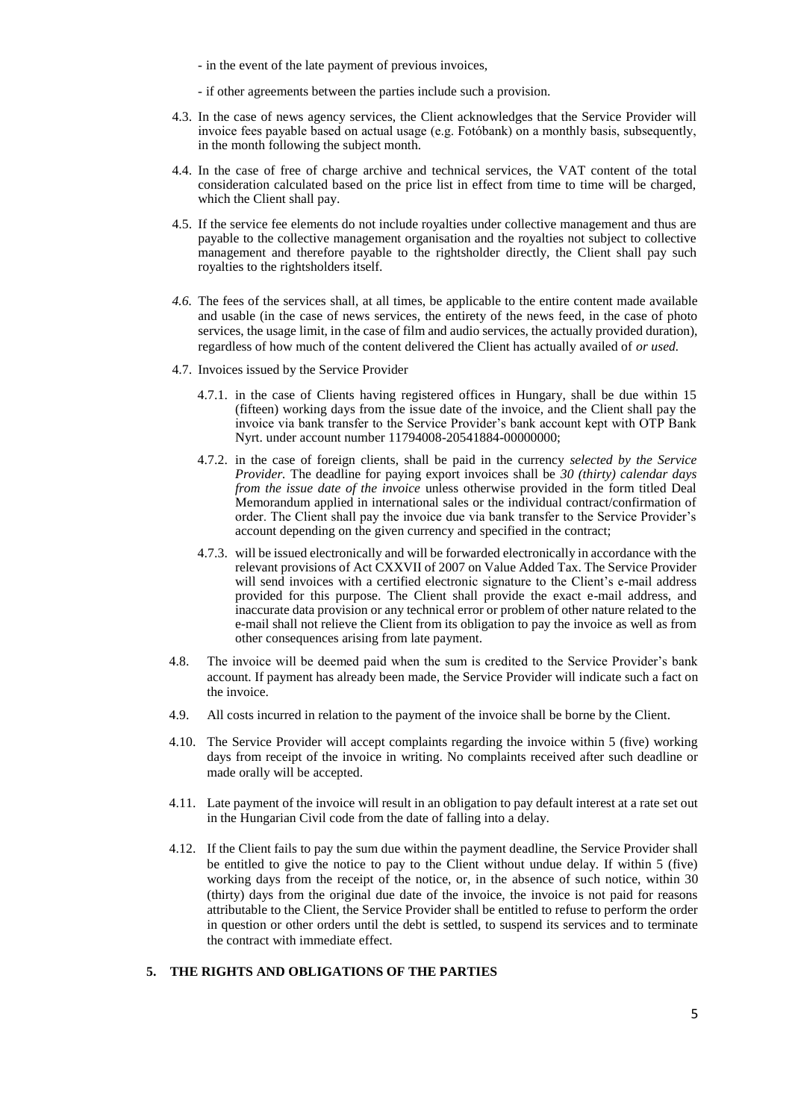- in the event of the late payment of previous invoices,
- if other agreements between the parties include such a provision.
- 4.3. In the case of news agency services, the Client acknowledges that the Service Provider will invoice fees payable based on actual usage (e.g. Fotóbank) on a monthly basis, subsequently, in the month following the subject month.
- 4.4. In the case of free of charge archive and technical services, the VAT content of the total consideration calculated based on the price list in effect from time to time will be charged, which the Client shall pay.
- 4.5. If the service fee elements do not include royalties under collective management and thus are payable to the collective management organisation and the royalties not subject to collective management and therefore payable to the rightsholder directly, the Client shall pay such royalties to the rightsholders itself.
- *4.6.* The fees of the services shall, at all times, be applicable to the entire content made available and usable (in the case of news services, the entirety of the news feed, in the case of photo services, the usage limit, in the case of film and audio services, the actually provided duration), regardless of how much of the content delivered the Client has actually availed of *or used.*
- 4.7. Invoices issued by the Service Provider
	- 4.7.1. in the case of Clients having registered offices in Hungary, shall be due within 15 (fifteen) working days from the issue date of the invoice, and the Client shall pay the invoice via bank transfer to the Service Provider's bank account kept with OTP Bank Nyrt. under account number 11794008-20541884-00000000;
	- 4.7.2. in the case of foreign clients, shall be paid in the currency *selected by the Service Provider.* The deadline for paying export invoices shall be *30 (thirty) calendar days from the issue date of the invoice* unless otherwise provided in the form titled Deal Memorandum applied in international sales or the individual contract/confirmation of order. The Client shall pay the invoice due via bank transfer to the Service Provider's account depending on the given currency and specified in the contract;
	- 4.7.3. will be issued electronically and will be forwarded electronically in accordance with the relevant provisions of Act CXXVII of 2007 on Value Added Tax. The Service Provider will send invoices with a certified electronic signature to the Client's e-mail address provided for this purpose. The Client shall provide the exact e-mail address, and inaccurate data provision or any technical error or problem of other nature related to the e-mail shall not relieve the Client from its obligation to pay the invoice as well as from other consequences arising from late payment.
- 4.8. The invoice will be deemed paid when the sum is credited to the Service Provider's bank account. If payment has already been made, the Service Provider will indicate such a fact on the invoice.
- 4.9. All costs incurred in relation to the payment of the invoice shall be borne by the Client.
- 4.10. The Service Provider will accept complaints regarding the invoice within 5 (five) working days from receipt of the invoice in writing. No complaints received after such deadline or made orally will be accepted.
- 4.11. Late payment of the invoice will result in an obligation to pay default interest at a rate set out in the Hungarian Civil code from the date of falling into a delay.
- 4.12. If the Client fails to pay the sum due within the payment deadline, the Service Provider shall be entitled to give the notice to pay to the Client without undue delay. If within 5 (five) working days from the receipt of the notice, or, in the absence of such notice, within 30 (thirty) days from the original due date of the invoice, the invoice is not paid for reasons attributable to the Client, the Service Provider shall be entitled to refuse to perform the order in question or other orders until the debt is settled, to suspend its services and to terminate the contract with immediate effect.

# **5. THE RIGHTS AND OBLIGATIONS OF THE PARTIES**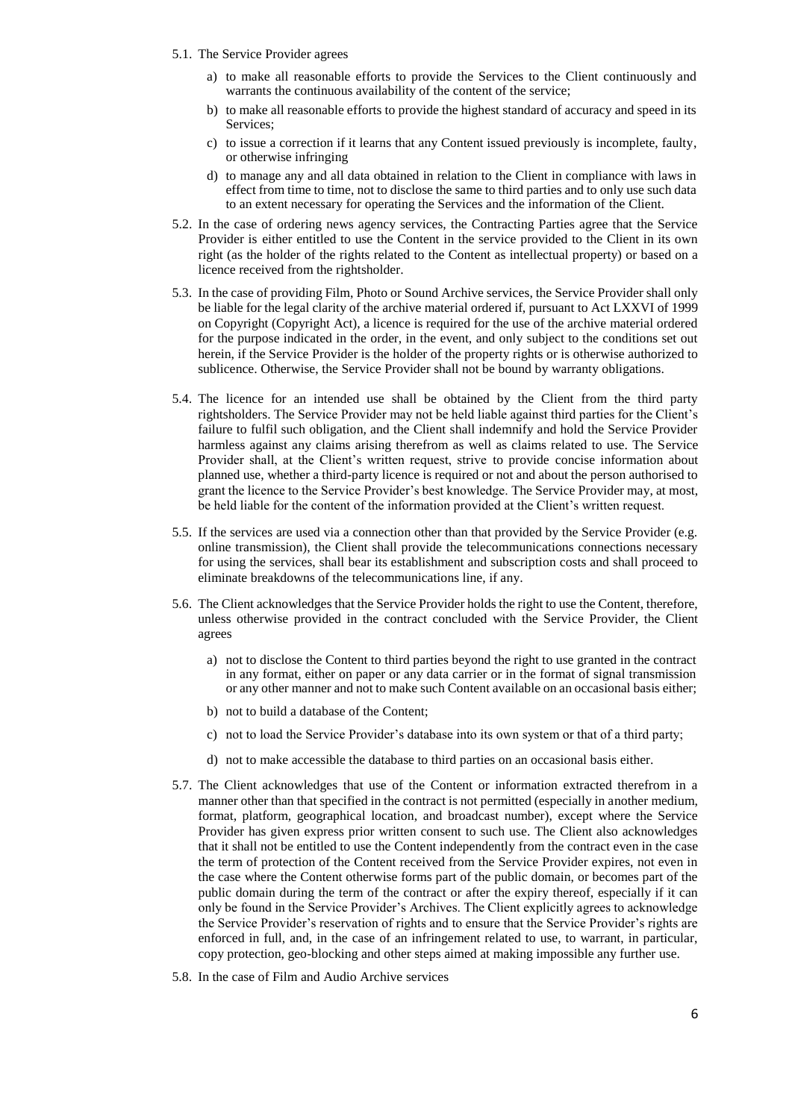- 5.1. The Service Provider agrees
	- a) to make all reasonable efforts to provide the Services to the Client continuously and warrants the continuous availability of the content of the service;
	- b) to make all reasonable efforts to provide the highest standard of accuracy and speed in its Services;
	- c) to issue a correction if it learns that any Content issued previously is incomplete, faulty, or otherwise infringing
	- d) to manage any and all data obtained in relation to the Client in compliance with laws in effect from time to time, not to disclose the same to third parties and to only use such data to an extent necessary for operating the Services and the information of the Client.
- 5.2. In the case of ordering news agency services, the Contracting Parties agree that the Service Provider is either entitled to use the Content in the service provided to the Client in its own right (as the holder of the rights related to the Content as intellectual property) or based on a licence received from the rightsholder.
- 5.3. In the case of providing Film, Photo or Sound Archive services, the Service Provider shall only be liable for the legal clarity of the archive material ordered if, pursuant to Act LXXVI of 1999 on Copyright (Copyright Act), a licence is required for the use of the archive material ordered for the purpose indicated in the order, in the event, and only subject to the conditions set out herein, if the Service Provider is the holder of the property rights or is otherwise authorized to sublicence. Otherwise, the Service Provider shall not be bound by warranty obligations.
- 5.4. The licence for an intended use shall be obtained by the Client from the third party rightsholders. The Service Provider may not be held liable against third parties for the Client's failure to fulfil such obligation, and the Client shall indemnify and hold the Service Provider harmless against any claims arising therefrom as well as claims related to use. The Service Provider shall, at the Client's written request, strive to provide concise information about planned use, whether a third-party licence is required or not and about the person authorised to grant the licence to the Service Provider's best knowledge. The Service Provider may, at most, be held liable for the content of the information provided at the Client's written request.
- 5.5. If the services are used via a connection other than that provided by the Service Provider (e.g. online transmission), the Client shall provide the telecommunications connections necessary for using the services, shall bear its establishment and subscription costs and shall proceed to eliminate breakdowns of the telecommunications line, if any.
- 5.6. The Client acknowledges that the Service Provider holds the right to use the Content, therefore, unless otherwise provided in the contract concluded with the Service Provider, the Client agrees
	- a) not to disclose the Content to third parties beyond the right to use granted in the contract in any format, either on paper or any data carrier or in the format of signal transmission or any other manner and not to make such Content available on an occasional basis either;
	- b) not to build a database of the Content;
	- c) not to load the Service Provider's database into its own system or that of a third party;
	- d) not to make accessible the database to third parties on an occasional basis either.
- 5.7. The Client acknowledges that use of the Content or information extracted therefrom in a manner other than that specified in the contract is not permitted (especially in another medium, format, platform, geographical location, and broadcast number), except where the Service Provider has given express prior written consent to such use. The Client also acknowledges that it shall not be entitled to use the Content independently from the contract even in the case the term of protection of the Content received from the Service Provider expires, not even in the case where the Content otherwise forms part of the public domain, or becomes part of the public domain during the term of the contract or after the expiry thereof, especially if it can only be found in the Service Provider's Archives. The Client explicitly agrees to acknowledge the Service Provider's reservation of rights and to ensure that the Service Provider's rights are enforced in full, and, in the case of an infringement related to use, to warrant, in particular, copy protection, geo-blocking and other steps aimed at making impossible any further use.
- 5.8. In the case of Film and Audio Archive services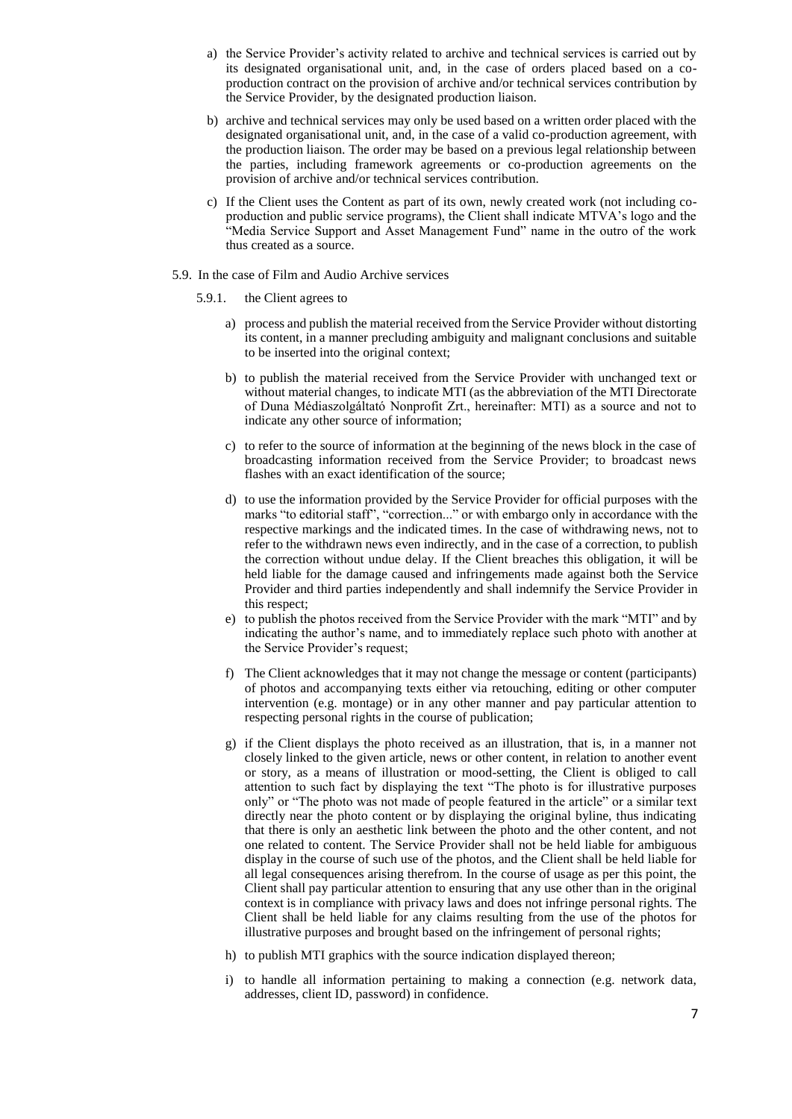- a) the Service Provider's activity related to archive and technical services is carried out by its designated organisational unit, and, in the case of orders placed based on a coproduction contract on the provision of archive and/or technical services contribution by the Service Provider, by the designated production liaison.
- b) archive and technical services may only be used based on a written order placed with the designated organisational unit, and, in the case of a valid co-production agreement, with the production liaison. The order may be based on a previous legal relationship between the parties, including framework agreements or co-production agreements on the provision of archive and/or technical services contribution.
- c) If the Client uses the Content as part of its own, newly created work (not including coproduction and public service programs), the Client shall indicate MTVA's logo and the "Media Service Support and Asset Management Fund" name in the outro of the work thus created as a source.
- 5.9. In the case of Film and Audio Archive services
	- 5.9.1. the Client agrees to
		- a) process and publish the material received from the Service Provider without distorting its content, in a manner precluding ambiguity and malignant conclusions and suitable to be inserted into the original context;
		- b) to publish the material received from the Service Provider with unchanged text or without material changes, to indicate MTI (as the abbreviation of the MTI Directorate of Duna Médiaszolgáltató Nonprofit Zrt., hereinafter: MTI) as a source and not to indicate any other source of information;
		- c) to refer to the source of information at the beginning of the news block in the case of broadcasting information received from the Service Provider; to broadcast news flashes with an exact identification of the source;
		- d) to use the information provided by the Service Provider for official purposes with the marks "to editorial staff", "correction..." or with embargo only in accordance with the respective markings and the indicated times. In the case of withdrawing news, not to refer to the withdrawn news even indirectly, and in the case of a correction, to publish the correction without undue delay. If the Client breaches this obligation, it will be held liable for the damage caused and infringements made against both the Service Provider and third parties independently and shall indemnify the Service Provider in this respect;
		- e) to publish the photos received from the Service Provider with the mark "MTI" and by indicating the author's name, and to immediately replace such photo with another at the Service Provider's request;
		- f) The Client acknowledges that it may not change the message or content (participants) of photos and accompanying texts either via retouching, editing or other computer intervention (e.g. montage) or in any other manner and pay particular attention to respecting personal rights in the course of publication;
		- g) if the Client displays the photo received as an illustration, that is, in a manner not closely linked to the given article, news or other content, in relation to another event or story, as a means of illustration or mood-setting, the Client is obliged to call attention to such fact by displaying the text "The photo is for illustrative purposes only" or "The photo was not made of people featured in the article" or a similar text directly near the photo content or by displaying the original byline, thus indicating that there is only an aesthetic link between the photo and the other content, and not one related to content. The Service Provider shall not be held liable for ambiguous display in the course of such use of the photos, and the Client shall be held liable for all legal consequences arising therefrom. In the course of usage as per this point, the Client shall pay particular attention to ensuring that any use other than in the original context is in compliance with privacy laws and does not infringe personal rights. The Client shall be held liable for any claims resulting from the use of the photos for illustrative purposes and brought based on the infringement of personal rights;
		- h) to publish MTI graphics with the source indication displayed thereon;
		- i) to handle all information pertaining to making a connection (e.g. network data, addresses, client ID, password) in confidence.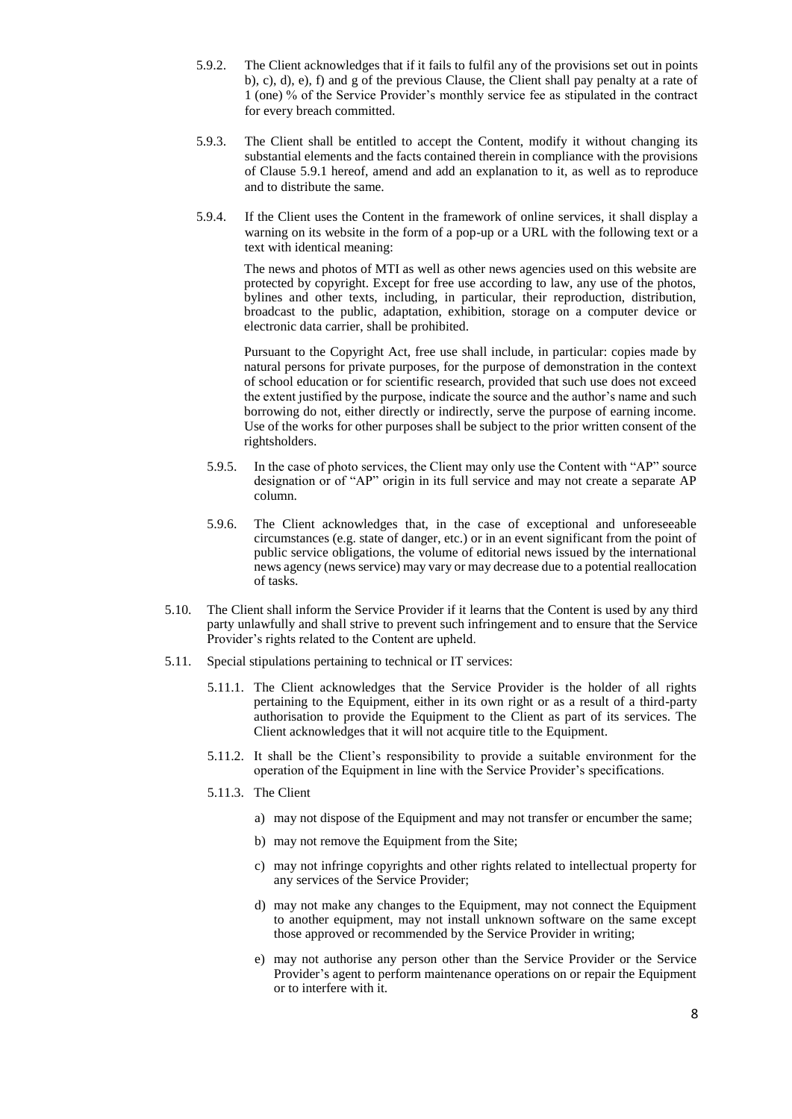- 5.9.2. The Client acknowledges that if it fails to fulfil any of the provisions set out in points b), c), d), e), f) and g of the previous Clause, the Client shall pay penalty at a rate of 1 (one) % of the Service Provider's monthly service fee as stipulated in the contract for every breach committed.
- 5.9.3. The Client shall be entitled to accept the Content, modify it without changing its substantial elements and the facts contained therein in compliance with the provisions of Clause 5.9.1 hereof, amend and add an explanation to it, as well as to reproduce and to distribute the same.
- 5.9.4. If the Client uses the Content in the framework of online services, it shall display a warning on its website in the form of a pop-up or a URL with the following text or a text with identical meaning:

The news and photos of MTI as well as other news agencies used on this website are protected by copyright. Except for free use according to law, any use of the photos, bylines and other texts, including, in particular, their reproduction, distribution, broadcast to the public, adaptation, exhibition, storage on a computer device or electronic data carrier, shall be prohibited.

Pursuant to the Copyright Act, free use shall include, in particular: copies made by natural persons for private purposes, for the purpose of demonstration in the context of school education or for scientific research, provided that such use does not exceed the extent justified by the purpose, indicate the source and the author's name and such borrowing do not, either directly or indirectly, serve the purpose of earning income. Use of the works for other purposes shall be subject to the prior written consent of the rightsholders.

- 5.9.5. In the case of photo services, the Client may only use the Content with "AP" source designation or of "AP" origin in its full service and may not create a separate AP column.
- 5.9.6. The Client acknowledges that, in the case of exceptional and unforeseeable circumstances (e.g. state of danger, etc.) or in an event significant from the point of public service obligations, the volume of editorial news issued by the international news agency (news service) may vary or may decrease due to a potential reallocation of tasks.
- 5.10. The Client shall inform the Service Provider if it learns that the Content is used by any third party unlawfully and shall strive to prevent such infringement and to ensure that the Service Provider's rights related to the Content are upheld.
- 5.11. Special stipulations pertaining to technical or IT services:
	- 5.11.1. The Client acknowledges that the Service Provider is the holder of all rights pertaining to the Equipment, either in its own right or as a result of a third-party authorisation to provide the Equipment to the Client as part of its services. The Client acknowledges that it will not acquire title to the Equipment.
	- 5.11.2. It shall be the Client's responsibility to provide a suitable environment for the operation of the Equipment in line with the Service Provider's specifications.
	- 5.11.3. The Client
		- a) may not dispose of the Equipment and may not transfer or encumber the same;
		- b) may not remove the Equipment from the Site;
		- c) may not infringe copyrights and other rights related to intellectual property for any services of the Service Provider;
		- d) may not make any changes to the Equipment, may not connect the Equipment to another equipment, may not install unknown software on the same except those approved or recommended by the Service Provider in writing;
		- e) may not authorise any person other than the Service Provider or the Service Provider's agent to perform maintenance operations on or repair the Equipment or to interfere with it.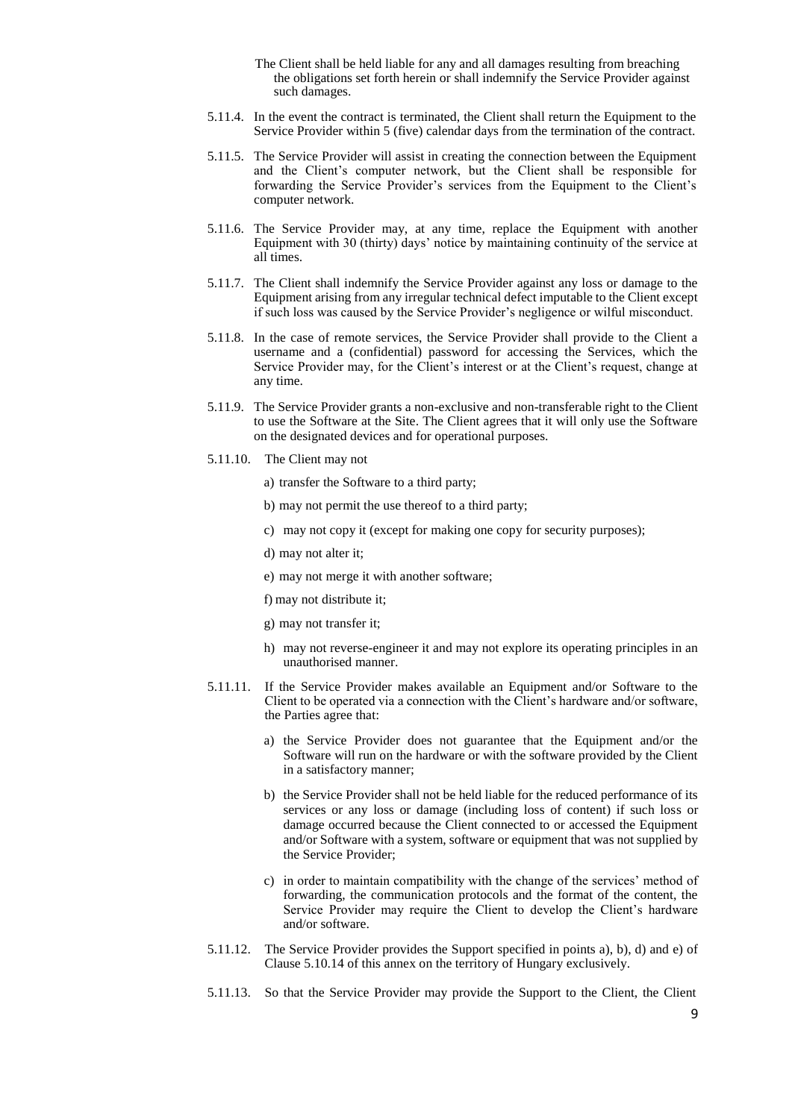- The Client shall be held liable for any and all damages resulting from breaching the obligations set forth herein or shall indemnify the Service Provider against such damages.
- 5.11.4. In the event the contract is terminated, the Client shall return the Equipment to the Service Provider within 5 (five) calendar days from the termination of the contract.
- 5.11.5. The Service Provider will assist in creating the connection between the Equipment and the Client's computer network, but the Client shall be responsible for forwarding the Service Provider's services from the Equipment to the Client's computer network.
- 5.11.6. The Service Provider may, at any time, replace the Equipment with another Equipment with 30 (thirty) days' notice by maintaining continuity of the service at all times.
- 5.11.7. The Client shall indemnify the Service Provider against any loss or damage to the Equipment arising from any irregular technical defect imputable to the Client except if such loss was caused by the Service Provider's negligence or wilful misconduct.
- 5.11.8. In the case of remote services, the Service Provider shall provide to the Client a username and a (confidential) password for accessing the Services, which the Service Provider may, for the Client's interest or at the Client's request, change at any time.
- 5.11.9. The Service Provider grants a non-exclusive and non-transferable right to the Client to use the Software at the Site. The Client agrees that it will only use the Software on the designated devices and for operational purposes.
- 5.11.10. The Client may not
	- a) transfer the Software to a third party;
	- b) may not permit the use thereof to a third party;
	- c) may not copy it (except for making one copy for security purposes);
	- d) may not alter it;
	- e) may not merge it with another software;
	- f) may not distribute it;
	- g) may not transfer it;
	- h) may not reverse-engineer it and may not explore its operating principles in an unauthorised manner.
- 5.11.11. If the Service Provider makes available an Equipment and/or Software to the Client to be operated via a connection with the Client's hardware and/or software, the Parties agree that:
	- a) the Service Provider does not guarantee that the Equipment and/or the Software will run on the hardware or with the software provided by the Client in a satisfactory manner;
	- b) the Service Provider shall not be held liable for the reduced performance of its services or any loss or damage (including loss of content) if such loss or damage occurred because the Client connected to or accessed the Equipment and/or Software with a system, software or equipment that was not supplied by the Service Provider;
	- c) in order to maintain compatibility with the change of the services' method of forwarding, the communication protocols and the format of the content, the Service Provider may require the Client to develop the Client's hardware and/or software.
- 5.11.12. The Service Provider provides the Support specified in points a), b), d) and e) of Clause 5.10.14 of this annex on the territory of Hungary exclusively.
- 5.11.13. So that the Service Provider may provide the Support to the Client, the Client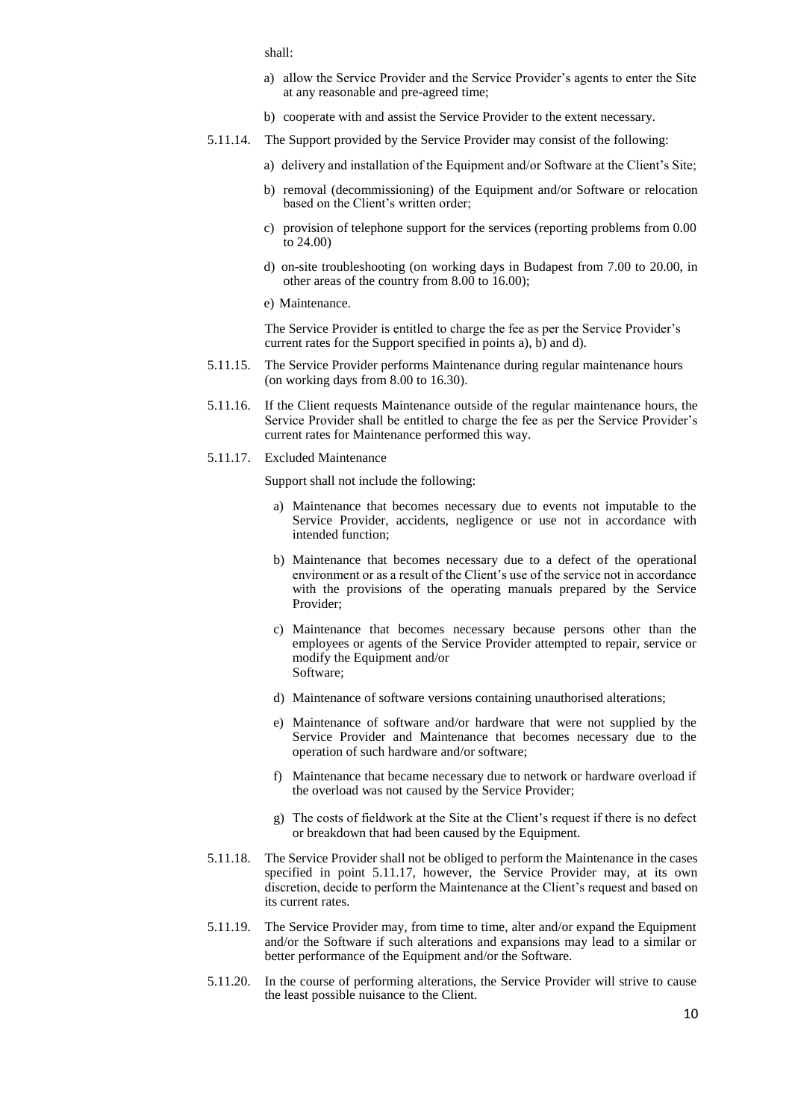shall:

- a) allow the Service Provider and the Service Provider's agents to enter the Site at any reasonable and pre-agreed time;
- b) cooperate with and assist the Service Provider to the extent necessary.
- 5.11.14. The Support provided by the Service Provider may consist of the following:
	- a) delivery and installation of the Equipment and/or Software at the Client's Site;
	- b) removal (decommissioning) of the Equipment and/or Software or relocation based on the Client's written order;
	- c) provision of telephone support for the services (reporting problems from 0.00 to 24.00)
	- d) on-site troubleshooting (on working days in Budapest from 7.00 to 20.00, in other areas of the country from 8.00 to 16.00);
	- e) Maintenance.

The Service Provider is entitled to charge the fee as per the Service Provider's current rates for the Support specified in points a),  $\overline{b}$  and d).

- 5.11.15. The Service Provider performs Maintenance during regular maintenance hours (on working days from 8.00 to 16.30).
- 5.11.16. If the Client requests Maintenance outside of the regular maintenance hours, the Service Provider shall be entitled to charge the fee as per the Service Provider's current rates for Maintenance performed this way.
- 5.11.17. Excluded Maintenance

Support shall not include the following:

- a) Maintenance that becomes necessary due to events not imputable to the Service Provider, accidents, negligence or use not in accordance with intended function;
- b) Maintenance that becomes necessary due to a defect of the operational environment or as a result of the Client's use of the service not in accordance with the provisions of the operating manuals prepared by the Service Provider;
- c) Maintenance that becomes necessary because persons other than the employees or agents of the Service Provider attempted to repair, service or modify the Equipment and/or Software;
- d) Maintenance of software versions containing unauthorised alterations;
- e) Maintenance of software and/or hardware that were not supplied by the Service Provider and Maintenance that becomes necessary due to the operation of such hardware and/or software;
- f) Maintenance that became necessary due to network or hardware overload if the overload was not caused by the Service Provider;
- g) The costs of fieldwork at the Site at the Client's request if there is no defect or breakdown that had been caused by the Equipment.
- 5.11.18. The Service Provider shall not be obliged to perform the Maintenance in the cases specified in point 5.11.17, however, the Service Provider may, at its own discretion, decide to perform the Maintenance at the Client's request and based on its current rates.
- 5.11.19. The Service Provider may, from time to time, alter and/or expand the Equipment and/or the Software if such alterations and expansions may lead to a similar or better performance of the Equipment and/or the Software.
- 5.11.20. In the course of performing alterations, the Service Provider will strive to cause the least possible nuisance to the Client.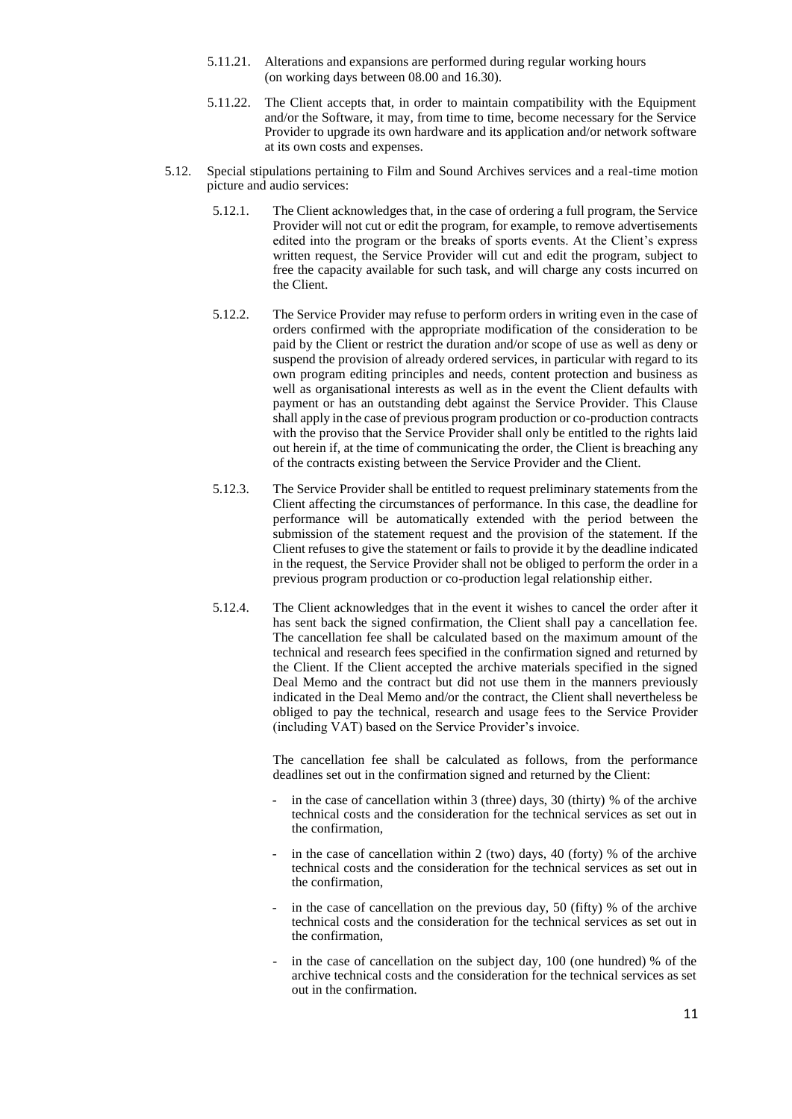- 5.11.21. Alterations and expansions are performed during regular working hours (on working days between 08.00 and 16.30).
- 5.11.22. The Client accepts that, in order to maintain compatibility with the Equipment and/or the Software, it may, from time to time, become necessary for the Service Provider to upgrade its own hardware and its application and/or network software at its own costs and expenses.
- 5.12. Special stipulations pertaining to Film and Sound Archives services and a real-time motion picture and audio services:
	- 5.12.1. The Client acknowledges that, in the case of ordering a full program, the Service Provider will not cut or edit the program, for example, to remove advertisements edited into the program or the breaks of sports events. At the Client's express written request, the Service Provider will cut and edit the program, subject to free the capacity available for such task, and will charge any costs incurred on the Client.
	- 5.12.2. The Service Provider may refuse to perform orders in writing even in the case of orders confirmed with the appropriate modification of the consideration to be paid by the Client or restrict the duration and/or scope of use as well as deny or suspend the provision of already ordered services, in particular with regard to its own program editing principles and needs, content protection and business as well as organisational interests as well as in the event the Client defaults with payment or has an outstanding debt against the Service Provider. This Clause shall apply in the case of previous program production or co-production contracts with the proviso that the Service Provider shall only be entitled to the rights laid out herein if, at the time of communicating the order, the Client is breaching any of the contracts existing between the Service Provider and the Client.
	- 5.12.3. The Service Provider shall be entitled to request preliminary statements from the Client affecting the circumstances of performance. In this case, the deadline for performance will be automatically extended with the period between the submission of the statement request and the provision of the statement. If the Client refuses to give the statement or fails to provide it by the deadline indicated in the request, the Service Provider shall not be obliged to perform the order in a previous program production or co-production legal relationship either.
	- 5.12.4. The Client acknowledges that in the event it wishes to cancel the order after it has sent back the signed confirmation, the Client shall pay a cancellation fee. The cancellation fee shall be calculated based on the maximum amount of the technical and research fees specified in the confirmation signed and returned by the Client. If the Client accepted the archive materials specified in the signed Deal Memo and the contract but did not use them in the manners previously indicated in the Deal Memo and/or the contract, the Client shall nevertheless be obliged to pay the technical, research and usage fees to the Service Provider (including VAT) based on the Service Provider's invoice.

The cancellation fee shall be calculated as follows, from the performance deadlines set out in the confirmation signed and returned by the Client:

- in the case of cancellation within 3 (three) days,  $30$  (thirty) % of the archive technical costs and the consideration for the technical services as set out in the confirmation,
- in the case of cancellation within 2 (two) days, 40 (forty)  $%$  of the archive technical costs and the consideration for the technical services as set out in the confirmation,
- in the case of cancellation on the previous day, 50 (fifty)  $%$  of the archive technical costs and the consideration for the technical services as set out in the confirmation,
- in the case of cancellation on the subject day,  $100$  (one hundred) % of the archive technical costs and the consideration for the technical services as set out in the confirmation.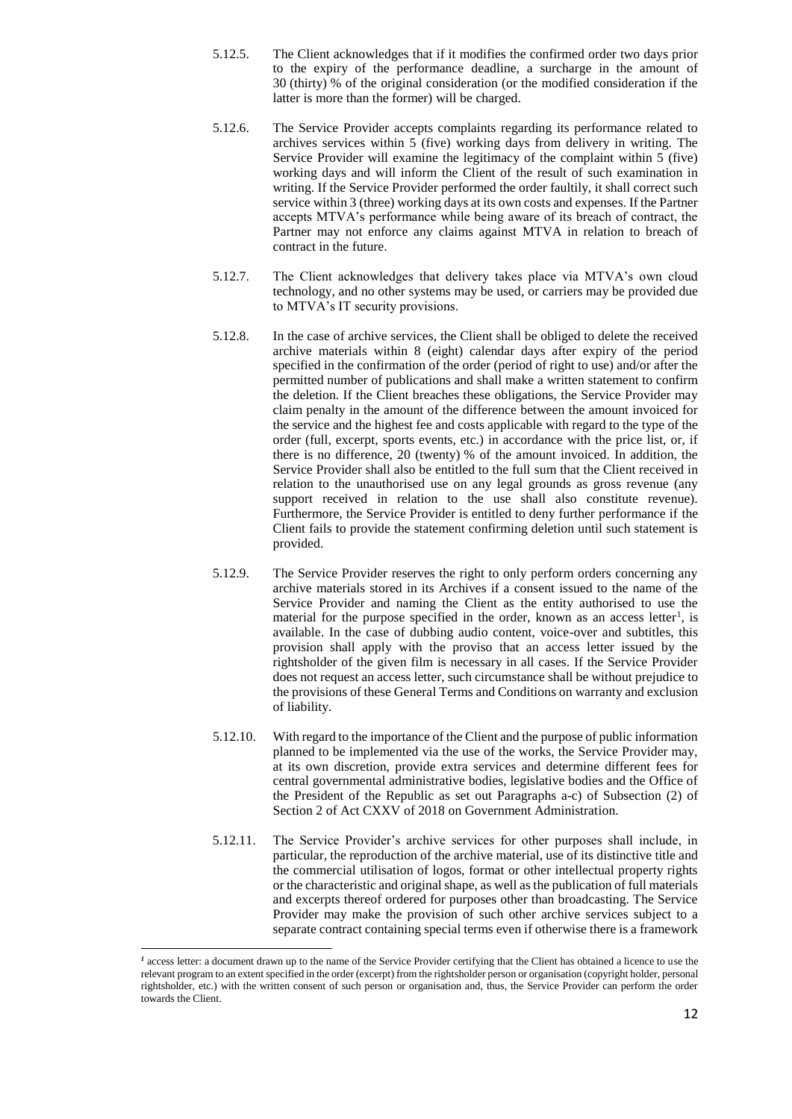- 5.12.5. The Client acknowledges that if it modifies the confirmed order two days prior to the expiry of the performance deadline, a surcharge in the amount of 30 (thirty) % of the original consideration (or the modified consideration if the latter is more than the former) will be charged.
- 5.12.6. The Service Provider accepts complaints regarding its performance related to archives services within 5 (five) working days from delivery in writing. The Service Provider will examine the legitimacy of the complaint within 5 (five) working days and will inform the Client of the result of such examination in writing. If the Service Provider performed the order faultily, it shall correct such service within 3 (three) working days at its own costs and expenses. If the Partner accepts MTVA's performance while being aware of its breach of contract, the Partner may not enforce any claims against MTVA in relation to breach of contract in the future.
- 5.12.7. The Client acknowledges that delivery takes place via MTVA's own cloud technology, and no other systems may be used, or carriers may be provided due to MTVA's IT security provisions.
- 5.12.8. In the case of archive services, the Client shall be obliged to delete the received archive materials within 8 (eight) calendar days after expiry of the period specified in the confirmation of the order (period of right to use) and/or after the permitted number of publications and shall make a written statement to confirm the deletion. If the Client breaches these obligations, the Service Provider may claim penalty in the amount of the difference between the amount invoiced for the service and the highest fee and costs applicable with regard to the type of the order (full, excerpt, sports events, etc.) in accordance with the price list, or, if there is no difference, 20 (twenty) % of the amount invoiced. In addition, the Service Provider shall also be entitled to the full sum that the Client received in relation to the unauthorised use on any legal grounds as gross revenue (any support received in relation to the use shall also constitute revenue). Furthermore, the Service Provider is entitled to deny further performance if the Client fails to provide the statement confirming deletion until such statement is provided.
- 5.12.9. The Service Provider reserves the right to only perform orders concerning any archive materials stored in its Archives if a consent issued to the name of the Service Provider and naming the Client as the entity authorised to use the material for the purpose specified in the order, known as an access letter<sup>1</sup>, is available. In the case of dubbing audio content, voice-over and subtitles, this provision shall apply with the proviso that an access letter issued by the rightsholder of the given film is necessary in all cases. If the Service Provider does not request an access letter, such circumstance shall be without prejudice to the provisions of these General Terms and Conditions on warranty and exclusion of liability.
- 5.12.10. With regard to the importance of the Client and the purpose of public information planned to be implemented via the use of the works, the Service Provider may, at its own discretion, provide extra services and determine different fees for central governmental administrative bodies, legislative bodies and the Office of the President of the Republic as set out Paragraphs a-c) of Subsection (2) of Section 2 of Act CXXV of 2018 on Government Administration.
- 5.12.11. The Service Provider's archive services for other purposes shall include, in particular, the reproduction of the archive material, use of its distinctive title and the commercial utilisation of logos, format or other intellectual property rights or the characteristic and original shape, as well as the publication of full materials and excerpts thereof ordered for purposes other than broadcasting. The Service Provider may make the provision of such other archive services subject to a separate contract containing special terms even if otherwise there is a framework

 $\overline{a}$ 

<sup>&</sup>lt;sup>1</sup> access letter: a document drawn up to the name of the Service Provider certifying that the Client has obtained a licence to use the relevant program to an extent specified in the order (excerpt) from the rightsholder person or organisation (copyright holder, personal rightsholder, etc.) with the written consent of such person or organisation and, thus, the Service Provider can perform the order towards the Client.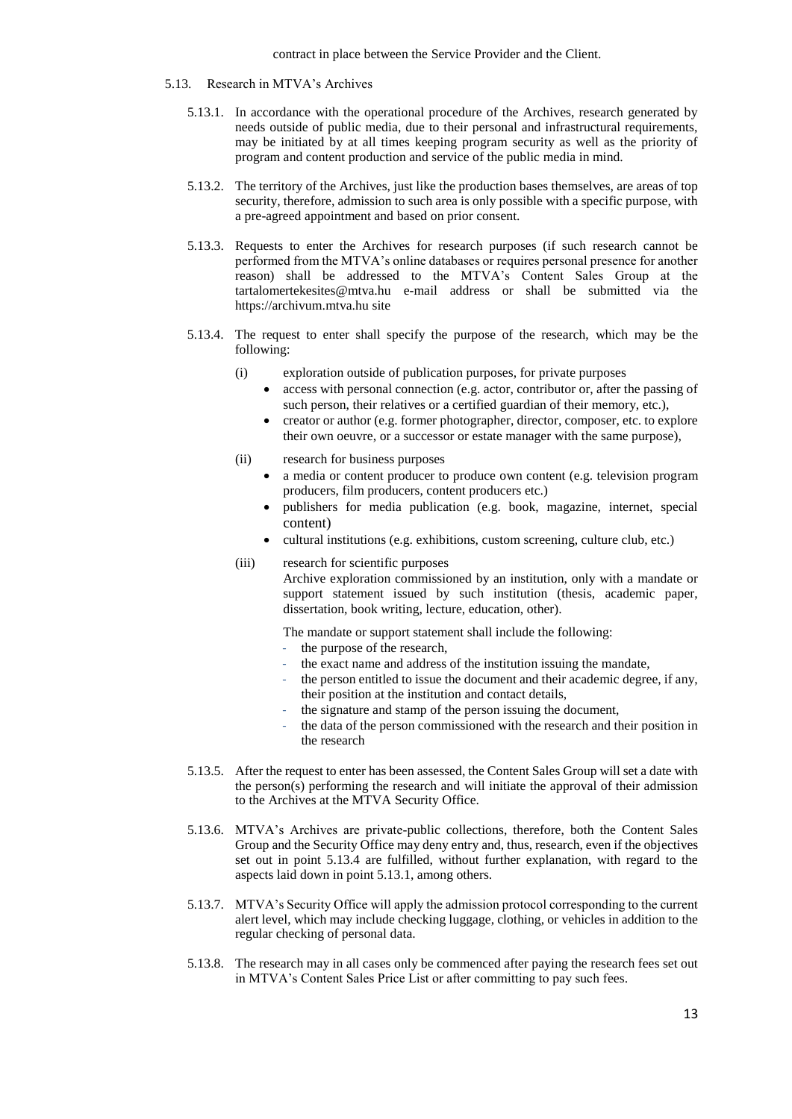- 5.13. Research in MTVA's Archives
	- 5.13.1. In accordance with the operational procedure of the Archives, research generated by needs outside of public media, due to their personal and infrastructural requirements, may be initiated by at all times keeping program security as well as the priority of program and content production and service of the public media in mind.
	- 5.13.2. The territory of the Archives, just like the production bases themselves, are areas of top security, therefore, admission to such area is only possible with a specific purpose, with a pre-agreed appointment and based on prior consent.
	- 5.13.3. Requests to enter the Archives for research purposes (if such research cannot be performed from the MTVA's online databases or requires personal presence for another reason) shall be addressed to the MTVA's Content Sales Group at the [tartalomertekesites@mtva.hu](about:blank) e-mail address or shall be submitted via the [https://archivum.mtva.hu](about:blank) site
	- 5.13.4. The request to enter shall specify the purpose of the research, which may be the following:
		- (i) exploration outside of publication purposes, for private purposes
			- access with personal connection (e.g. actor, contributor or, after the passing of such person, their relatives or a certified guardian of their memory, etc.),
			- creator or author (e.g. former photographer, director, composer, etc. to explore their own oeuvre, or a successor or estate manager with the same purpose),
		- (ii) research for business purposes
			- a media or content producer to produce own content (e.g. television program producers, film producers, content producers etc.)
			- publishers for media publication (e.g. book, magazine, internet, special content)
			- cultural institutions (e.g. exhibitions, custom screening, culture club, etc.)
		- (iii) research for scientific purposes Archive exploration commissioned by an institution, only with a mandate or support statement issued by such institution (thesis, academic paper, dissertation, book writing, lecture, education, other).

The mandate or support statement shall include the following:

- the purpose of the research,
- the exact name and address of the institution issuing the mandate,
- the person entitled to issue the document and their academic degree, if any, their position at the institution and contact details,
- the signature and stamp of the person issuing the document,
- the data of the person commissioned with the research and their position in the research
- 5.13.5. After the request to enter has been assessed, the Content Sales Group will set a date with the person(s) performing the research and will initiate the approval of their admission to the Archives at the MTVA Security Office.
- 5.13.6. MTVA's Archives are private-public collections, therefore, both the Content Sales Group and the Security Office may deny entry and, thus, research, even if the objectives set out in point 5.13.4 are fulfilled, without further explanation, with regard to the aspects laid down in point 5.13.1, among others.
- 5.13.7. MTVA's Security Office will apply the admission protocol corresponding to the current alert level, which may include checking luggage, clothing, or vehicles in addition to the regular checking of personal data.
- 5.13.8. The research may in all cases only be commenced after paying the research fees set out in MTVA's Content Sales Price List or after committing to pay such fees.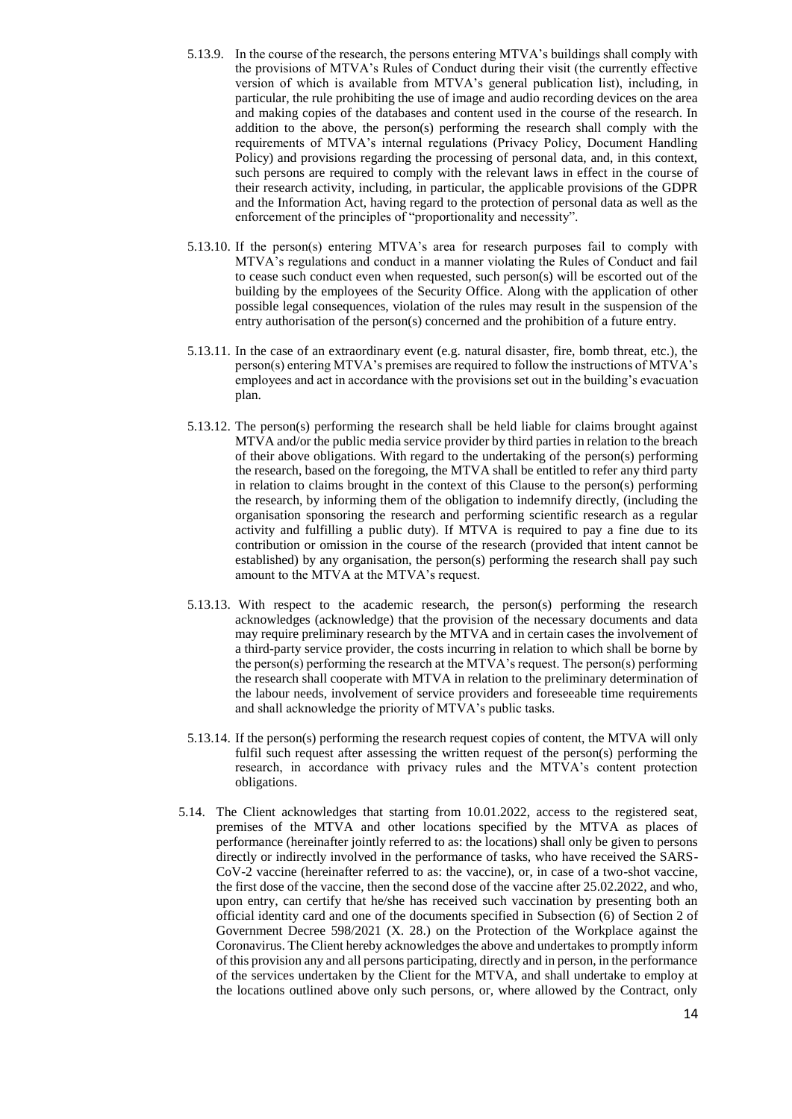- 5.13.9. In the course of the research, the persons entering MTVA's buildings shall comply with the provisions of MTVA's Rules of Conduct during their visit (the currently effective version of which is available from MTVA's general publication list), including, in particular, the rule prohibiting the use of image and audio recording devices on the area and making copies of the databases and content used in the course of the research. In addition to the above, the person(s) performing the research shall comply with the requirements of MTVA's internal regulations (Privacy Policy, Document Handling Policy) and provisions regarding the processing of personal data, and, in this context, such persons are required to comply with the relevant laws in effect in the course of their research activity, including, in particular, the applicable provisions of the GDPR and the Information Act, having regard to the protection of personal data as well as the enforcement of the principles of "proportionality and necessity".
- 5.13.10. If the person(s) entering MTVA's area for research purposes fail to comply with MTVA's regulations and conduct in a manner violating the Rules of Conduct and fail to cease such conduct even when requested, such person(s) will be escorted out of the building by the employees of the Security Office. Along with the application of other possible legal consequences, violation of the rules may result in the suspension of the entry authorisation of the person(s) concerned and the prohibition of a future entry.
- 5.13.11. In the case of an extraordinary event (e.g. natural disaster, fire, bomb threat, etc.), the person(s) entering MTVA's premises are required to follow the instructions of MTVA's employees and act in accordance with the provisions set out in the building's evacuation plan.
- 5.13.12. The person(s) performing the research shall be held liable for claims brought against MTVA and/or the public media service provider by third parties in relation to the breach of their above obligations. With regard to the undertaking of the person(s) performing the research, based on the foregoing, the MTVA shall be entitled to refer any third party in relation to claims brought in the context of this Clause to the person(s) performing the research, by informing them of the obligation to indemnify directly, (including the organisation sponsoring the research and performing scientific research as a regular activity and fulfilling a public duty). If MTVA is required to pay a fine due to its contribution or omission in the course of the research (provided that intent cannot be established) by any organisation, the person(s) performing the research shall pay such amount to the MTVA at the MTVA's request.
- 5.13.13. With respect to the academic research, the person(s) performing the research acknowledges (acknowledge) that the provision of the necessary documents and data may require preliminary research by the MTVA and in certain cases the involvement of a third-party service provider, the costs incurring in relation to which shall be borne by the person(s) performing the research at the MTVA's request. The person(s) performing the research shall cooperate with MTVA in relation to the preliminary determination of the labour needs, involvement of service providers and foreseeable time requirements and shall acknowledge the priority of MTVA's public tasks.
- 5.13.14. If the person(s) performing the research request copies of content, the MTVA will only fulfil such request after assessing the written request of the person(s) performing the research, in accordance with privacy rules and the MTVA's content protection obligations.
- 5.14. The Client acknowledges that starting from 10.01.2022, access to the registered seat, premises of the MTVA and other locations specified by the MTVA as places of performance (hereinafter jointly referred to as: the locations) shall only be given to persons directly or indirectly involved in the performance of tasks, who have received the SARS-CoV-2 vaccine (hereinafter referred to as: the vaccine), or, in case of a two-shot vaccine, the first dose of the vaccine, then the second dose of the vaccine after 25.02.2022, and who, upon entry, can certify that he/she has received such vaccination by presenting both an official identity card and one of the documents specified in Subsection (6) of Section 2 of Government Decree 598/2021 (X. 28.) on the Protection of the Workplace against the Coronavirus. The Client hereby acknowledges the above and undertakes to promptly inform of this provision any and all persons participating, directly and in person, in the performance of the services undertaken by the Client for the MTVA, and shall undertake to employ at the locations outlined above only such persons, or, where allowed by the Contract, only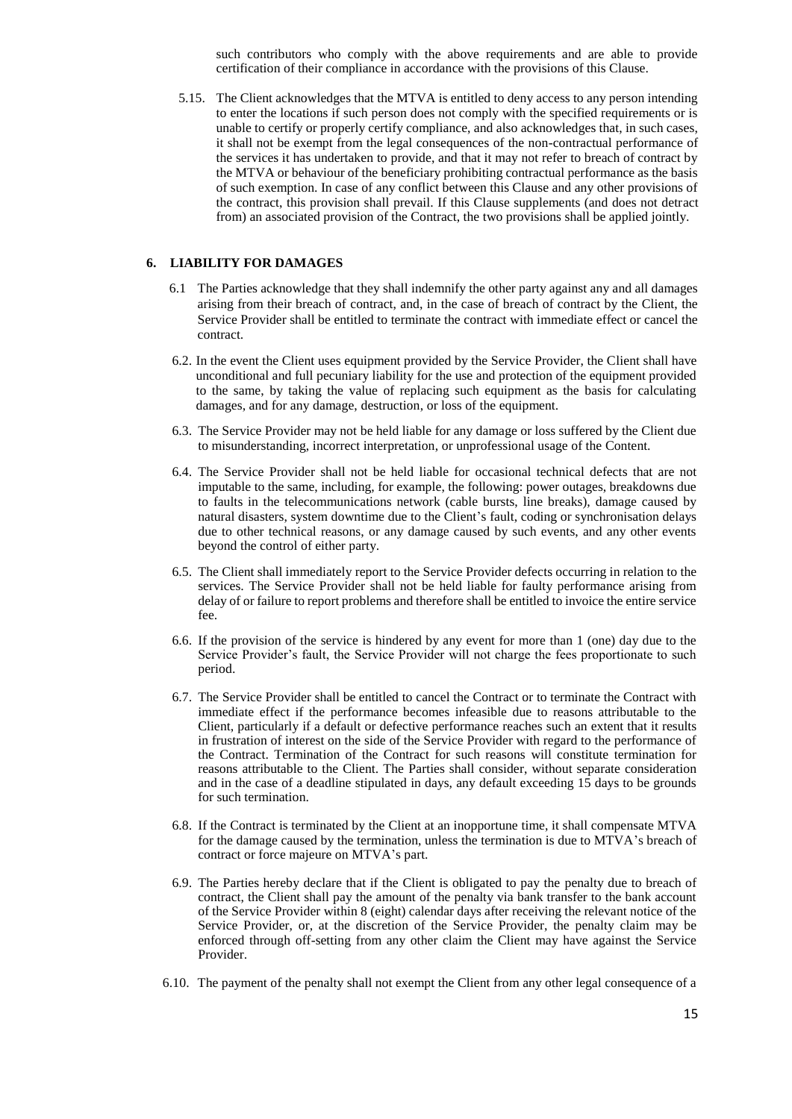such contributors who comply with the above requirements and are able to provide certification of their compliance in accordance with the provisions of this Clause.

5.15. The Client acknowledges that the MTVA is entitled to deny access to any person intending to enter the locations if such person does not comply with the specified requirements or is unable to certify or properly certify compliance, and also acknowledges that, in such cases, it shall not be exempt from the legal consequences of the non-contractual performance of the services it has undertaken to provide, and that it may not refer to breach of contract by the MTVA or behaviour of the beneficiary prohibiting contractual performance as the basis of such exemption. In case of any conflict between this Clause and any other provisions of the contract, this provision shall prevail. If this Clause supplements (and does not detract from) an associated provision of the Contract, the two provisions shall be applied jointly.

### **6. LIABILITY FOR DAMAGES**

- 6.1 The Parties acknowledge that they shall indemnify the other party against any and all damages arising from their breach of contract, and, in the case of breach of contract by the Client, the Service Provider shall be entitled to terminate the contract with immediate effect or cancel the contract.
- 6.2. In the event the Client uses equipment provided by the Service Provider, the Client shall have unconditional and full pecuniary liability for the use and protection of the equipment provided to the same, by taking the value of replacing such equipment as the basis for calculating damages, and for any damage, destruction, or loss of the equipment.
- 6.3. The Service Provider may not be held liable for any damage or loss suffered by the Client due to misunderstanding, incorrect interpretation, or unprofessional usage of the Content.
- 6.4. The Service Provider shall not be held liable for occasional technical defects that are not imputable to the same, including, for example, the following: power outages, breakdowns due to faults in the telecommunications network (cable bursts, line breaks), damage caused by natural disasters, system downtime due to the Client's fault, coding or synchronisation delays due to other technical reasons, or any damage caused by such events, and any other events beyond the control of either party.
- 6.5. The Client shall immediately report to the Service Provider defects occurring in relation to the services. The Service Provider shall not be held liable for faulty performance arising from delay of or failure to report problems and therefore shall be entitled to invoice the entire service fee.
- 6.6. If the provision of the service is hindered by any event for more than 1 (one) day due to the Service Provider's fault, the Service Provider will not charge the fees proportionate to such period.
- 6.7. The Service Provider shall be entitled to cancel the Contract or to terminate the Contract with immediate effect if the performance becomes infeasible due to reasons attributable to the Client, particularly if a default or defective performance reaches such an extent that it results in frustration of interest on the side of the Service Provider with regard to the performance of the Contract. Termination of the Contract for such reasons will constitute termination for reasons attributable to the Client. The Parties shall consider, without separate consideration and in the case of a deadline stipulated in days, any default exceeding 15 days to be grounds for such termination.
- 6.8. If the Contract is terminated by the Client at an inopportune time, it shall compensate MTVA for the damage caused by the termination, unless the termination is due to MTVA's breach of contract or force majeure on MTVA's part.
- 6.9. The Parties hereby declare that if the Client is obligated to pay the penalty due to breach of contract, the Client shall pay the amount of the penalty via bank transfer to the bank account of the Service Provider within 8 (eight) calendar days after receiving the relevant notice of the Service Provider, or, at the discretion of the Service Provider, the penalty claim may be enforced through off-setting from any other claim the Client may have against the Service Provider.
- 6.10. The payment of the penalty shall not exempt the Client from any other legal consequence of a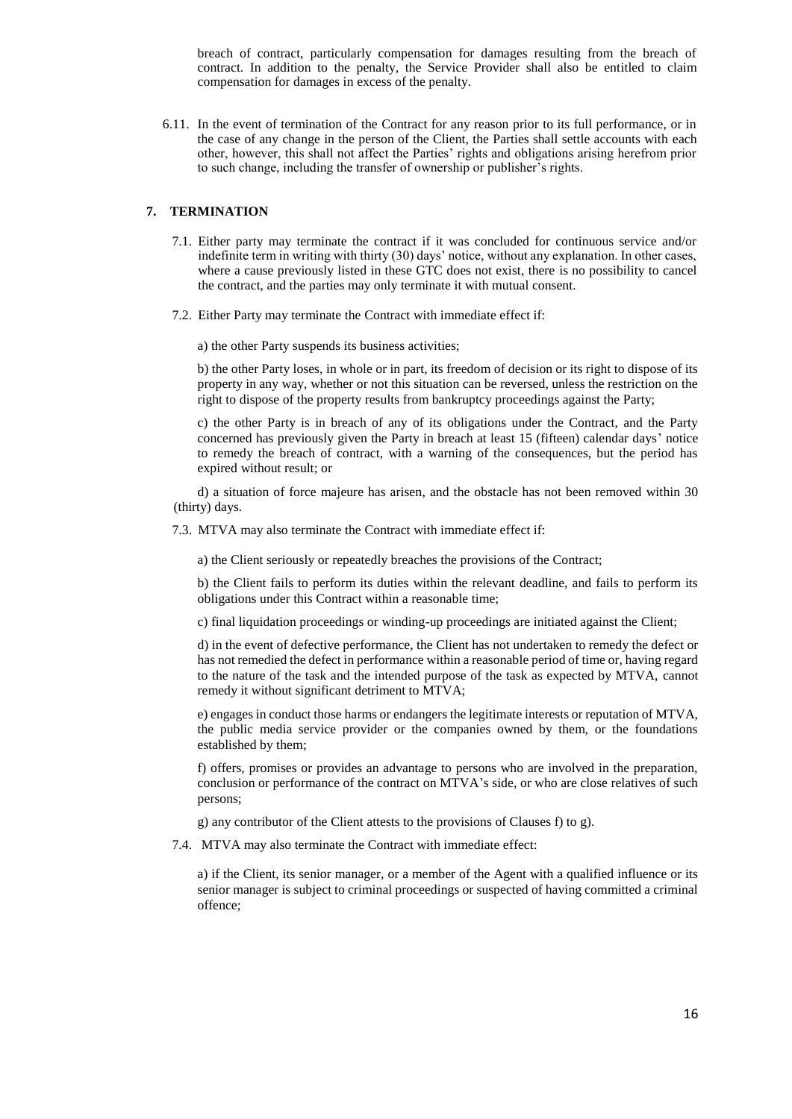breach of contract, particularly compensation for damages resulting from the breach of contract. In addition to the penalty, the Service Provider shall also be entitled to claim compensation for damages in excess of the penalty.

6.11. In the event of termination of the Contract for any reason prior to its full performance, or in the case of any change in the person of the Client, the Parties shall settle accounts with each other, however, this shall not affect the Parties' rights and obligations arising herefrom prior to such change, including the transfer of ownership or publisher's rights.

### **7. TERMINATION**

- 7.1. Either party may terminate the contract if it was concluded for continuous service and/or indefinite term in writing with thirty (30) days' notice, without any explanation. In other cases, where a cause previously listed in these GTC does not exist, there is no possibility to cancel the contract, and the parties may only terminate it with mutual consent.
- 7.2. Either Party may terminate the Contract with immediate effect if:

a) the other Party suspends its business activities;

b) the other Party loses, in whole or in part, its freedom of decision or its right to dispose of its property in any way, whether or not this situation can be reversed, unless the restriction on the right to dispose of the property results from bankruptcy proceedings against the Party;

c) the other Party is in breach of any of its obligations under the Contract, and the Party concerned has previously given the Party in breach at least 15 (fifteen) calendar days' notice to remedy the breach of contract, with a warning of the consequences, but the period has expired without result; or

d) a situation of force majeure has arisen, and the obstacle has not been removed within 30 (thirty) days.

7.3. MTVA may also terminate the Contract with immediate effect if:

a) the Client seriously or repeatedly breaches the provisions of the Contract;

b) the Client fails to perform its duties within the relevant deadline, and fails to perform its obligations under this Contract within a reasonable time;

c) final liquidation proceedings or winding-up proceedings are initiated against the Client;

d) in the event of defective performance, the Client has not undertaken to remedy the defect or has not remedied the defect in performance within a reasonable period of time or, having regard to the nature of the task and the intended purpose of the task as expected by MTVA, cannot remedy it without significant detriment to MTVA;

e) engages in conduct those harms or endangers the legitimate interests or reputation of MTVA, the public media service provider or the companies owned by them, or the foundations established by them;

f) offers, promises or provides an advantage to persons who are involved in the preparation, conclusion or performance of the contract on MTVA's side, or who are close relatives of such persons;

g) any contributor of the Client attests to the provisions of Clauses f) to g).

7.4. MTVA may also terminate the Contract with immediate effect:

a) if the Client, its senior manager, or a member of the Agent with a qualified influence or its senior manager is subject to criminal proceedings or suspected of having committed a criminal offence;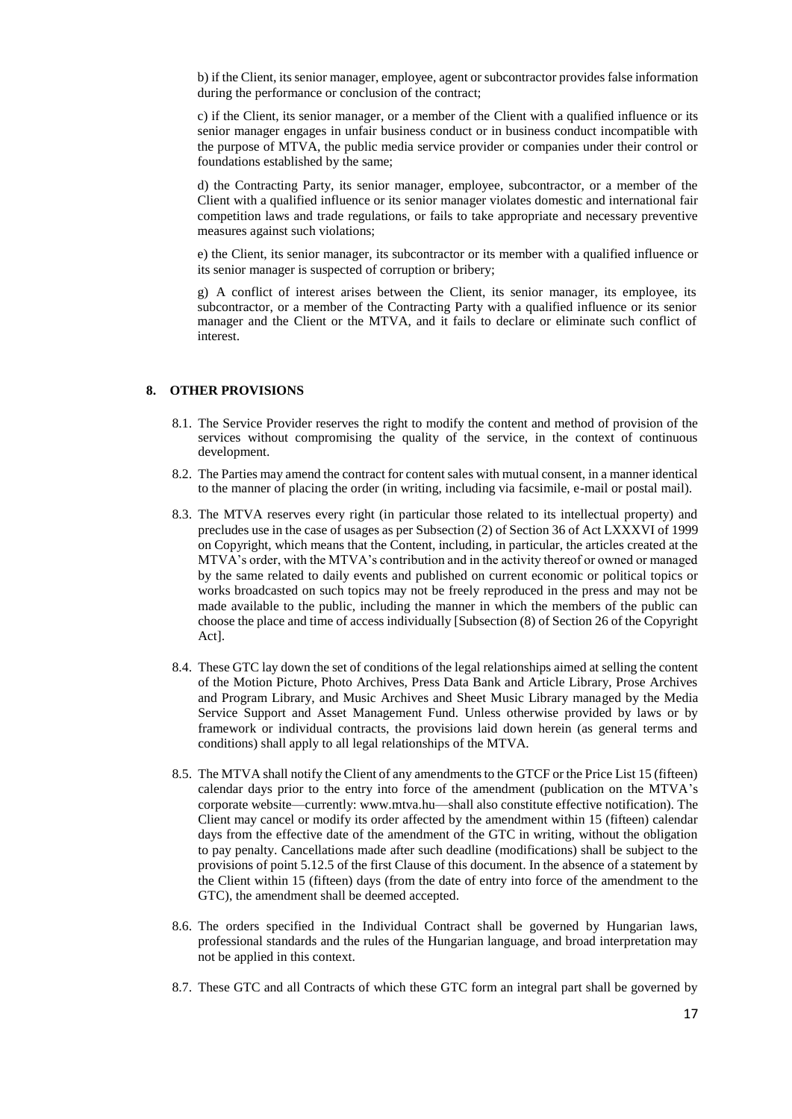b) if the Client, its senior manager, employee, agent or subcontractor provides false information during the performance or conclusion of the contract;

c) if the Client, its senior manager, or a member of the Client with a qualified influence or its senior manager engages in unfair business conduct or in business conduct incompatible with the purpose of MTVA, the public media service provider or companies under their control or foundations established by the same;

d) the Contracting Party, its senior manager, employee, subcontractor, or a member of the Client with a qualified influence or its senior manager violates domestic and international fair competition laws and trade regulations, or fails to take appropriate and necessary preventive measures against such violations;

e) the Client, its senior manager, its subcontractor or its member with a qualified influence or its senior manager is suspected of corruption or bribery;

g) A conflict of interest arises between the Client, its senior manager, its employee, its subcontractor, or a member of the Contracting Party with a qualified influence or its senior manager and the Client or the MTVA, and it fails to declare or eliminate such conflict of interest.

# **8. OTHER PROVISIONS**

- 8.1. The Service Provider reserves the right to modify the content and method of provision of the services without compromising the quality of the service, in the context of continuous development.
- 8.2. The Parties may amend the contract for content sales with mutual consent, in a manner identical to the manner of placing the order (in writing, including via facsimile, e-mail or postal mail).
- 8.3. The MTVA reserves every right (in particular those related to its intellectual property) and precludes use in the case of usages as per Subsection (2) of Section 36 of Act LXXXVI of 1999 on Copyright, which means that the Content, including, in particular, the articles created at the MTVA's order, with the MTVA's contribution and in the activity thereof or owned or managed by the same related to daily events and published on current economic or political topics or works broadcasted on such topics may not be freely reproduced in the press and may not be made available to the public, including the manner in which the members of the public can choose the place and time of access individually [Subsection (8) of Section 26 of the Copyright Act].
- 8.4. These GTC lay down the set of conditions of the legal relationships aimed at selling the content of the Motion Picture, Photo Archives, Press Data Bank and Article Library, Prose Archives and Program Library, and Music Archives and Sheet Music Library managed by the Media Service Support and Asset Management Fund. Unless otherwise provided by laws or by framework or individual contracts, the provisions laid down herein (as general terms and conditions) shall apply to all legal relationships of the MTVA.
- 8.5. The MTVA shall notify the Client of any amendments to the GTCF or the Price List 15 (fifteen) calendar days prior to the entry into force of the amendment (publication on the MTVA's corporate website—currently[: www.mtva.hu—](about:blank)shall also constitute effective notification). The Client may cancel or modify its order affected by the amendment within 15 (fifteen) calendar days from the effective date of the amendment of the GTC in writing, without the obligation to pay penalty. Cancellations made after such deadline (modifications) shall be subject to the provisions of point 5.12.5 of the first Clause of this document. In the absence of a statement by the Client within 15 (fifteen) days (from the date of entry into force of the amendment to the GTC), the amendment shall be deemed accepted.
- 8.6. The orders specified in the Individual Contract shall be governed by Hungarian laws, professional standards and the rules of the Hungarian language, and broad interpretation may not be applied in this context.
- 8.7. These GTC and all Contracts of which these GTC form an integral part shall be governed by